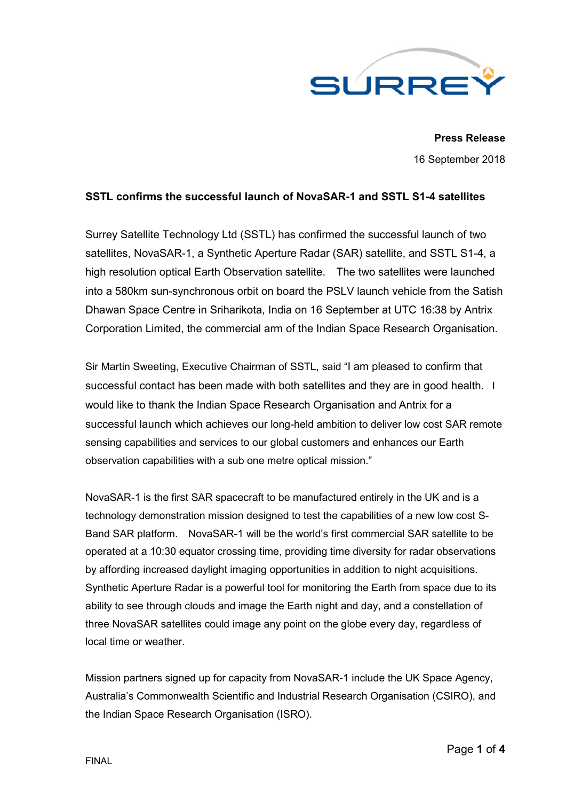

**Press Release** 16 September 2018

## **SSTL confirms the successful launch of NovaSAR-1 and SSTL S1-4 satellites**

Surrey Satellite Technology Ltd (SSTL) has confirmed the successful launch of two satellites, NovaSAR-1, a Synthetic Aperture Radar (SAR) satellite, and SSTL S1-4, a high resolution optical Earth Observation satellite. The two satellites were launched into a 580km sun-synchronous orbit on board the PSLV launch vehicle from the Satish Dhawan Space Centre in Sriharikota, India on 16 September at UTC 16:38 by Antrix Corporation Limited, the commercial arm of the Indian Space Research Organisation.

Sir Martin Sweeting, Executive Chairman of SSTL, said "I am pleased to confirm that successful contact has been made with both satellites and they are in good health. I would like to thank the Indian Space Research Organisation and Antrix for a successful launch which achieves our long-held ambition to deliver low cost SAR remote sensing capabilities and services to our global customers and enhances our Earth observation capabilities with a sub one metre optical mission."

NovaSAR-1 is the first SAR spacecraft to be manufactured entirely in the UK and is a technology demonstration mission designed to test the capabilities of a new low cost S-Band SAR platform. NovaSAR-1 will be the world's first commercial SAR satellite to be operated at a 10:30 equator crossing time, providing time diversity for radar observations by affording increased daylight imaging opportunities in addition to night acquisitions. Synthetic Aperture Radar is a powerful tool for monitoring the Earth from space due to its ability to see through clouds and image the Earth night and day, and a constellation of three NovaSAR satellites could image any point on the globe every day, regardless of local time or weather.

Mission partners signed up for capacity from NovaSAR-1 include the UK Space Agency, Australia's Commonwealth Scientific and Industrial Research Organisation (CSIRO), and the Indian Space Research Organisation (ISRO).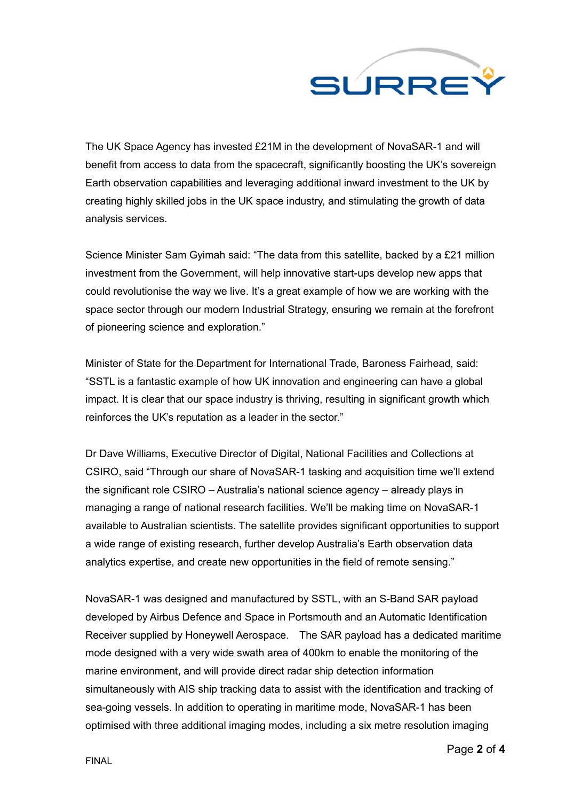

The UK Space Agency has invested £21M in the development of NovaSAR-1 and will benefit from access to data from the spacecraft, significantly boosting the UK's sovereign Earth observation capabilities and leveraging additional inward investment to the UK by creating highly skilled jobs in the UK space industry, and stimulating the growth of data analysis services.

Science Minister Sam Gyimah said: "The data from this satellite, backed by a £21 million investment from the Government, will help innovative start-ups develop new apps that could revolutionise the way we live. It's a great example of how we are working with the space sector through our modern Industrial Strategy, ensuring we remain at the forefront of pioneering science and exploration."

Minister of State for the Department for International Trade, Baroness Fairhead, said: "SSTL is a fantastic example of how UK innovation and engineering can have a global impact. It is clear that our space industry is thriving, resulting in significant growth which reinforces the UK's reputation as a leader in the sector."

Dr Dave Williams, Executive Director of Digital, National Facilities and Collections at CSIRO, said "Through our share of NovaSAR-1 tasking and acquisition time we'll extend the significant role CSIRO – Australia's national science agency – already plays in managing a range of national research facilities. We'll be making time on NovaSAR-1 available to Australian scientists. The satellite provides significant opportunities to support a wide range of existing research, further develop Australia's Earth observation data analytics expertise, and create new opportunities in the field of remote sensing."

NovaSAR-1 was designed and manufactured by SSTL, with an S-Band SAR payload developed by Airbus Defence and Space in Portsmouth and an Automatic Identification Receiver supplied by Honeywell Aerospace. The SAR payload has a dedicated maritime mode designed with a very wide swath area of 400km to enable the monitoring of the marine environment, and will provide direct radar ship detection information simultaneously with AIS ship tracking data to assist with the identification and tracking of sea-going vessels. In addition to operating in maritime mode, NovaSAR-1 has been optimised with three additional imaging modes, including a six metre resolution imaging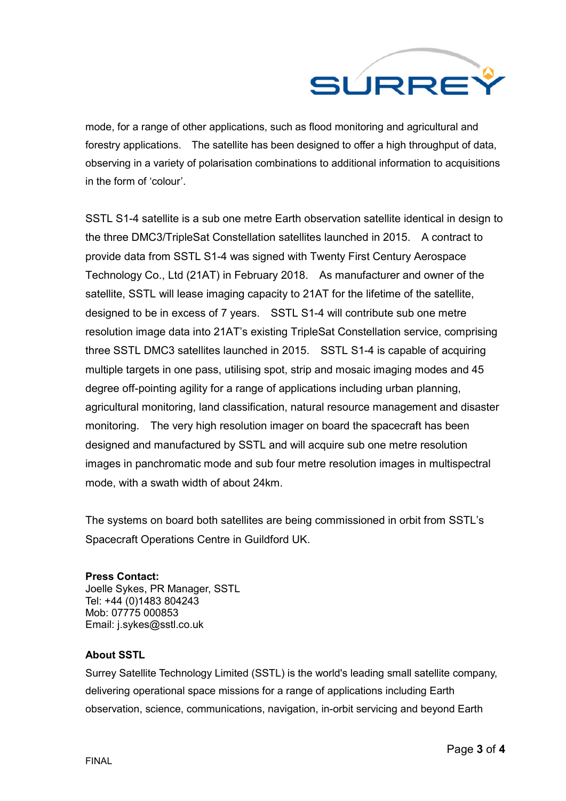

mode, for a range of other applications, such as flood monitoring and agricultural and forestry applications. The satellite has been designed to offer a high throughput of data, observing in a variety of polarisation combinations to additional information to acquisitions in the form of 'colour'.

SSTL S1-4 satellite is a sub one metre Earth observation satellite identical in design to the three DMC3/TripleSat Constellation satellites launched in 2015. A contract to provide data from SSTL S1-4 was signed with Twenty First Century Aerospace Technology Co., Ltd (21AT) in February 2018. As manufacturer and owner of the satellite, SSTL will lease imaging capacity to 21AT for the lifetime of the satellite, designed to be in excess of 7 years. SSTL S1-4 will contribute sub one metre resolution image data into 21AT's existing TripleSat Constellation service, comprising three SSTL DMC3 satellites launched in 2015. SSTL S1-4 is capable of acquiring multiple targets in one pass, utilising spot, strip and mosaic imaging modes and 45 degree off-pointing agility for a range of applications including urban planning, agricultural monitoring, land classification, natural resource management and disaster monitoring. The very high resolution imager on board the spacecraft has been designed and manufactured by SSTL and will acquire sub one metre resolution images in panchromatic mode and sub four metre resolution images in multispectral mode, with a swath width of about 24km.

The systems on board both satellites are being commissioned in orbit from SSTL's Spacecraft Operations Centre in Guildford UK.

## **Press Contact:**

Joelle Sykes, PR Manager, SSTL Tel: +44 (0)1483 804243 Mob: 07775 000853 Email: j.sykes@sstl.co.uk

## **About SSTL**

Surrey Satellite Technology Limited (SSTL) is the world's leading small satellite company, delivering operational space missions for a range of applications including Earth observation, science, communications, navigation, in-orbit servicing and beyond Earth